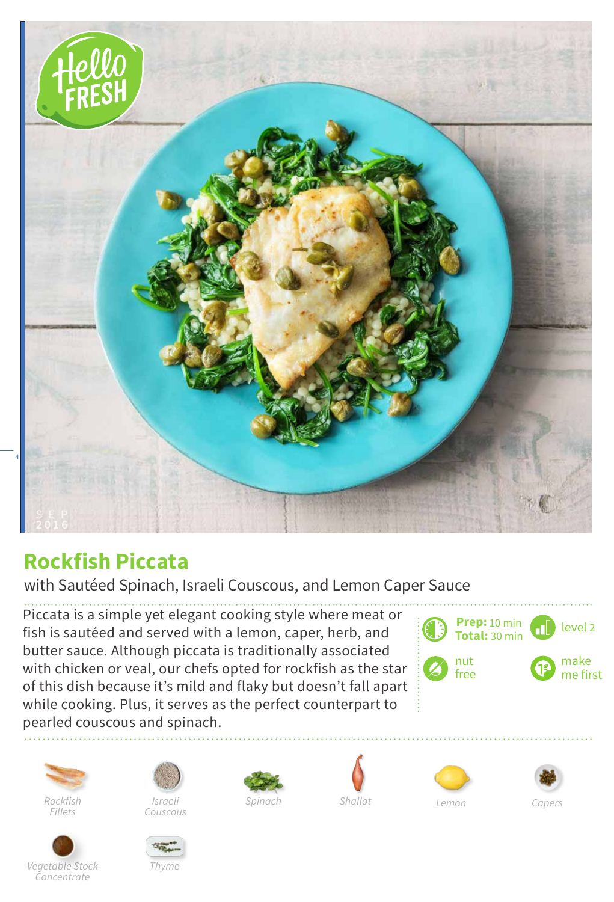

## **Rockfish Piccata**

with Sautéed Spinach, Israeli Couscous, and Lemon Caper Sauce

Piccata is a simple yet elegant cooking style where meat or fish is sautéed and served with a lemon, caper, herb, and butter sauce. Although piccata is traditionally associated with chicken or veal, our chefs opted for rockfish as the star of this dish because it's mild and flaky but doesn't fall apart while cooking. Plus, it serves as the perfect counterpart to pearled couscous and spinach.





*Vegetable Stock Concentrate*



*Couscous*